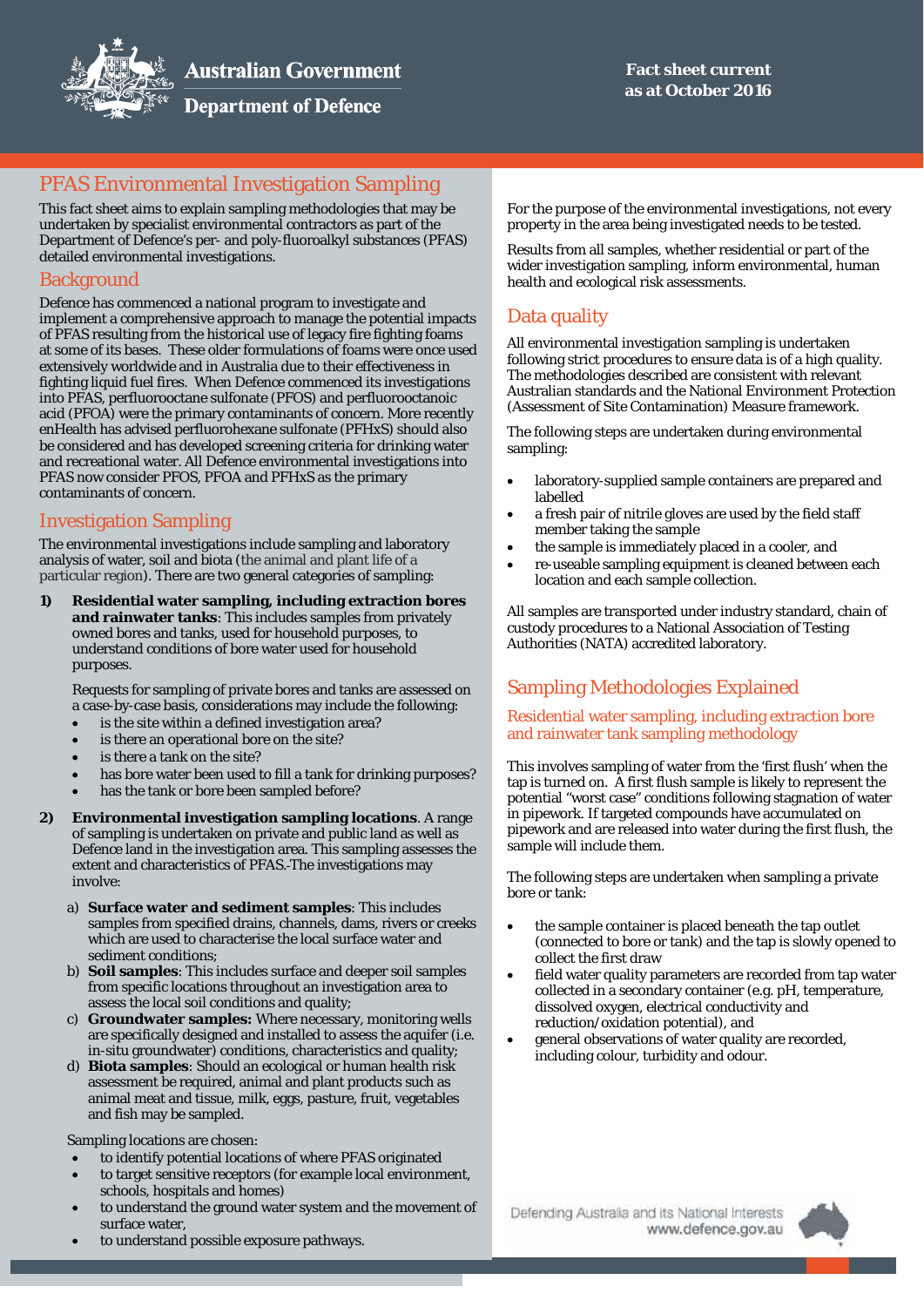

**Department of Defence** 

# PFAS Environmental Investigation Sampling

This fact sheet aims to explain sampling methodologies that may be undertaken by specialist environmental contractors as part of the Department of Defence's per- and poly-fluoroalkyl substances (PFAS) detailed environmental investigations.

## **Background**

Defence has commenced a national program to investigate and implement a comprehensive approach to manage the potential impacts of PFAS resulting from the historical use of legacy fire fighting foams at some of its bases. These older formulations of foams were once used extensively worldwide and in Australia due to their effectiveness in fighting liquid fuel fires. When Defence commenced its investigations into PFAS, perfluorooctane sulfonate (PFOS) and perfluorooctanoic acid (PFOA) were the primary contaminants of concern. More recently enHealth has advised perfluorohexane sulfonate (PFHxS) should also be considered and has developed screening criteria for drinking water and recreational water. All Defence environmental investigations into PFAS now consider PFOS, PFOA and PFHxS as the primary contaminants of concern.

## Investigation Sampling

The environmental investigations include sampling and laboratory analysis of water, soil and biota (the animal and plant life of a particular region). There are two general categories of sampling:

**1) Residential water sampling, including extraction bores and rainwater tanks**: This includes samples from privately owned bores and tanks, used for household purposes, to understand conditions of bore water used for household purposes.

Requests for sampling of private bores and tanks are assessed on a case-by-case basis, considerations may include the following:

- is the site within a defined investigation area?
- is there an operational bore on the site?
- is there a tank on the site?
- has bore water been used to fill a tank for drinking purposes?
- has the tank or bore been sampled before?
- **2) Environmental investigation sampling locations**. A range of sampling is undertaken on private and public land as well as Defence land in the investigation area. This sampling assesses the extent and characteristics of PFAS. The investigations may involve:
	- a) **Surface water and sediment samples**: This includes samples from specified drains, channels, dams, rivers or creeks which are used to characterise the local surface water and sediment conditions;
	- b) **Soil samples**: This includes surface and deeper soil samples from specific locations throughout an investigation area to assess the local soil conditions and quality;
	- c) **Groundwater samples:** Where necessary, monitoring wells are specifically designed and installed to assess the aquifer (i.e. *in-situ* groundwater) conditions, characteristics and quality;
	- d) **Biota samples**: Should an ecological or human health risk assessment be required, animal and plant products such as animal meat and tissue, milk, eggs, pasture, fruit, vegetables and fish may be sampled.

Sampling locations are chosen:

- to identify potential locations of where PFAS originated
- to target sensitive receptors (for example local environment, schools, hospitals and homes)
- to understand the ground water system and the movement of surface water,
- to understand possible exposure pathways.

For the purpose of the environmental investigations, not every property in the area being investigated needs to be tested.

Results from all samples, whether residential or part of the wider investigation sampling, inform environmental, human health and ecological risk assessments.

# Data quality

All environmental investigation sampling is undertaken following strict procedures to ensure data is of a high quality. The methodologies described are consistent with relevant Australian standards and the National Environment Protection (Assessment of Site Contamination) Measure framework.

The following steps are undertaken during environmental sampling:

- laboratory-supplied sample containers are prepared and labelled
- a fresh pair of nitrile gloves are used by the field staff member taking the sample
- the sample is immediately placed in a cooler, and
- re-useable sampling equipment is cleaned between each location and each sample collection.

All samples are transported under industry standard, chain of custody procedures to a National Association of Testing Authorities (NATA) accredited laboratory.

# Sampling Methodologies Explained

#### Residential water sampling, including extraction bore and rainwater tank sampling methodology

This involves sampling of water from the 'first flush' when the tap is turned on. A first flush sample is likely to represent the potential "worst case" conditions following stagnation of water in pipework. If targeted compounds have accumulated on pipework and are released into water during the first flush, the sample will include them.

The following steps are undertaken when sampling a private bore or tank:

- the sample container is placed beneath the tap outlet (connected to bore or tank) and the tap is slowly opened to collect the first draw
- field water quality parameters are recorded from tap water collected in a secondary container (e.g. pH, temperature, dissolved oxygen, electrical conductivity and reduction/oxidation potential), and
- general observations of water quality are recorded, including colour, turbidity and odour.